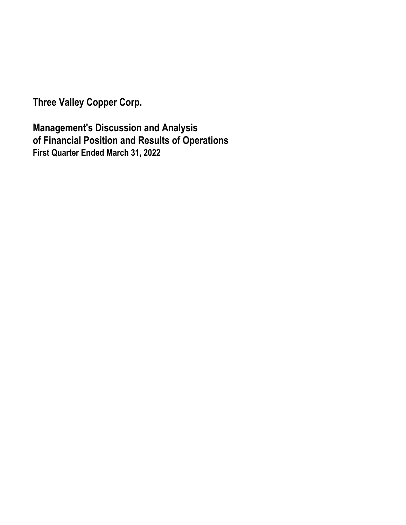**Three Valley Copper Corp.** 

**Management's Discussion and Analysis of Financial Position and Results of Operations First Quarter Ended March 31, 2022**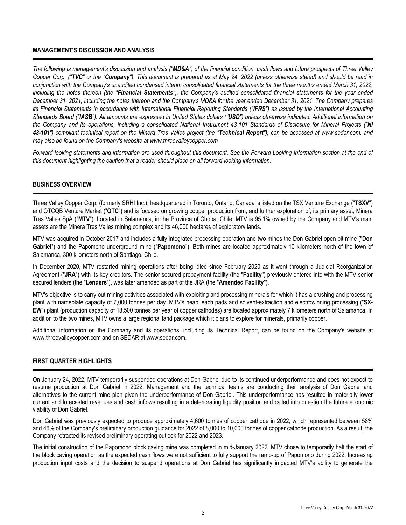## **MANAGEMENT'S DISCUSSION AND ANALYSIS**

*The following is management's discussion and analysis ("MD&A") of the financial condition, cash flows and future prospects of Three Valley Copper Corp. ("TVC" or the "Company"). This document is prepared as at May 24, 2022 (unless otherwise stated) and should be read in conjunction with the Company's unaudited condensed interim consolidated financial statements for the three months ended March 31, 2022, including the notes thereon (the "Financial Statements"), the Company's audited consolidated financial statements for the year ended December 31, 2021, including the notes thereon and the Company's MD&A for the year ended December 31, 2021. The Company prepares its Financial Statements in accordance with International Financial Reporting Standards ("IFRS") as issued by the International Accounting Standards Board ("IASB"). All amounts are expressed in United States dollars ("USD") unless otherwise indicated. Additional information on the Company and its operations, including a consolidated National Instrument 43-101 Standards of Disclosure for Mineral Projects ("NI 43-101") compliant technical report on the Minera Tres Valles project (the "Technical Report"), can be accessed at www.sedar.com, and may also be found on the Company's website at www.threevalleycopper.com*

*Forward-looking statements and information are used throughout this document. See the Forward-Looking Information section at the end of this document highlighting the caution that a reader should place on all forward-looking information.* 

## **BUSINESS OVERVIEW**

Three Valley Copper Corp. (formerly SRHI Inc.), headquartered in Toronto, Ontario, Canada is listed on the TSX Venture Exchange ("**TSXV**") and OTCQB Venture Market ("**OTC**") and is focused on growing copper production from, and further exploration of, its primary asset, Minera Tres Valles SpA ("**MTV**"). Located in Salamanca, in the Province of Chopa, Chile, MTV is 95.1% owned by the Company and MTV's main assets are the Minera Tres Valles mining complex and its 46,000 hectares of exploratory lands.

MTV was acquired in October 2017 and includes a fully integrated processing operation and two mines the Don Gabriel open pit mine ("**Don Gabriel**") and the Papomono underground mine ("**Papomono**"). Both mines are located approximately 10 kilometers north of the town of Salamanca, 300 kilometers north of Santiago, Chile.

In December 2020, MTV restarted mining operations after being idled since February 2020 as it went through a Judicial Reorganization Agreement ("**JRA**") with its key creditors. The senior secured prepayment facility (the "**Facility**") previously entered into with the MTV senior secured lenders (the "**Lenders**"), was later amended as part of the JRA (the "**Amended Facility**").

MTV's objective is to carry out mining activities associated with exploiting and processing minerals for which it has a crushing and processing plant with nameplate capacity of 7,000 tonnes per day. MTV's heap leach pads and solvent-extraction and electrowinning processing ("**SX-EW**") plant (production capacity of 18,500 tonnes per year of copper cathodes) are located approximately 7 kilometers north of Salamanca. In addition to the two mines, MTV owns a large regional land package which it plans to explore for minerals, primarily copper.

Additional information on the Company and its operations, including its Technical Report, can be found on the Company's website at www.threevalleycopper.com and on SEDAR at www.sedar.com.

## **FIRST QUARTER HIGHLIGHTS**

On January 24, 2022, MTV temporarily suspended operations at Don Gabriel due to its continued underperformance and does not expect to resume production at Don Gabriel in 2022. Management and the technical teams are conducting their analysis of Don Gabriel and alternatives to the current mine plan given the underperformance of Don Gabriel. This underperformance has resulted in materially lower current and forecasted revenues and cash inflows resulting in a deteriorating liquidity position and called into question the future economic viability of Don Gabriel.

Don Gabriel was previously expected to produce approximately 4,600 tonnes of copper cathode in 2022, which represented between 58% and 46% of the Company's preliminary production guidance for 2022 of 8,000 to 10,000 tonnes of copper cathode production. As a result, the Company retracted its revised preliminary operating outlook for 2022 and 2023.

The initial construction of the Papomono block caving mine was completed in mid-January 2022. MTV chose to temporarily halt the start of the block caving operation as the expected cash flows were not sufficient to fully support the ramp-up of Papomono during 2022. Increasing production input costs and the decision to suspend operations at Don Gabriel has significantly impacted MTV's ability to generate the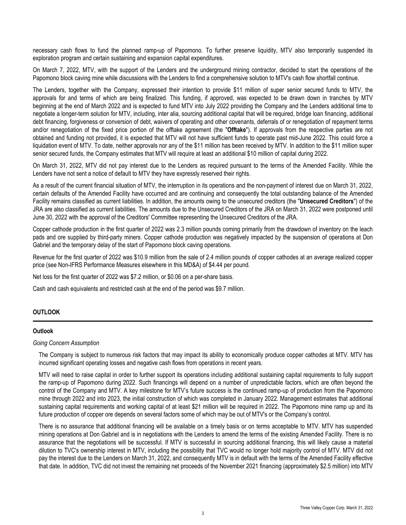necessary cash flows to fund the planned ramp-up of Papomono. To further preserve liquidity, MTV also temporarily suspended its exploration program and certain sustaining and expansion capital expenditures.

On March 7, 2022, MTV, with the support of the Lenders and the underground mining contractor, decided to start the operations of the Papomono block caving mine while discussions with the Lenders to find a comprehensive solution to MTV's cash flow shortfall continue.

The Lenders, together with the Company, expressed their intention to provide \$11 million of super senior secured funds to MTV, the approvals for and terms of which are being finalized. This funding, if approved, was expected to be drawn down in tranches by MTV beginning at the end of March 2022 and is expected to fund MTV into July 2022 providing the Company and the Lenders additional time to negotiate a longer-term solution for MTV, including, inter alia, sourcing additional capital that will be required, bridge loan financing, additional debt financing, forgiveness or conversion of debt, waivers of operating and other covenants, deferrals of or renegotiation of repayment terms and/or renegotiation of the fixed price portion of the offtake agreement (the "**Offtake**"). If approvals from the respective parties are not obtained and funding not provided, it is expected that MTV will not have sufficient funds to operate past mid-June 2022. This could force a liquidation event of MTV. To date, neither approvals nor any of the \$11 million has been received by MTV. In addition to the \$11 million super senior secured funds, the Company estimates that MTV will require at least an additional \$10 million of capital during 2022.

On March 31, 2022, MTV did not pay interest due to the Lenders as required pursuant to the terms of the Amended Facility. While the Lenders have not sent a notice of default to MTV they have expressly reserved their rights.

As a result of the current financial situation of MTV, the interruption in its operations and the non-payment of interest due on March 31, 2022, certain defaults of the Amended Facility have occurred and are continuing and consequently the total outstanding balance of the Amended Facility remains classified as current liabilities. In addition, the amounts owing to the unsecured creditors (the "**Unsecured Creditors**") of the JRA are also classified as current liabilities. The amounts due to the Unsecured Creditors of the JRA on March 31, 2022 were postponed until June 30, 2022 with the approval of the Creditors' Committee representing the Unsecured Creditors of the JRA.

Copper cathode production in the first quarter of 2022 was 2.3 million pounds coming primarily from the drawdown of inventory on the leach pads and ore supplied by third-party miners. Copper cathode production was negatively impacted by the suspension of operations at Don Gabriel and the temporary delay of the start of Papomono block caving operations.

Revenue for the first quarter of 2022 was \$10.9 million from the sale of 2.4 million pounds of copper cathodes at an average realized copper price (see Non-IFRS Performance Measures elsewhere in this MD&A) of \$4.44 per pound.

Net loss for the first quarter of 2022 was \$7.2 million, or \$0.06 on a per-share basis.

Cash and cash equivalents and restricted cash at the end of the period was \$9.7 million.

## **OUTLOOK**

## **Outlook**

#### *Going Concern Assumption*

The Company is subject to numerous risk factors that may impact its ability to economically produce copper cathodes at MTV. MTV has incurred significant operating losses and negative cash flows from operations in recent years.

MTV will need to raise capital in order to further support its operations including additional sustaining capital requirements to fully support the ramp-up of Papomono during 2022. Such financings will depend on a number of unpredictable factors, which are often beyond the control of the Company and MTV. A key milestone for MTV's future success is the continued ramp-up of production from the Papomono mine through 2022 and into 2023, the initial construction of which was completed in January 2022. Management estimates that additional sustaining capital requirements and working capital of at least \$21 million will be required in 2022. The Papomono mine ramp up and its future production of copper ore depends on several factors some of which may be out of MTV's or the Company's control.

There is no assurance that additional financing will be available on a timely basis or on terms acceptable to MTV. MTV has suspended mining operations at Don Gabriel and is in negotiations with the Lenders to amend the terms of the existing Amended Facility. There is no assurance that the negotiations will be successful. If MTV is successful in sourcing additional financing, this will likely cause a material dilution to TVC's ownership interest in MTV, including the possibility that TVC would no longer hold majority control of MTV. MTV did not pay the interest due to the Lenders on March 31, 2022, and consequently MTV is in default with the terms of the Amended Facility effective that date. In addition, TVC did not invest the remaining net proceeds of the November 2021 financing (approximately \$2.5 million) into MTV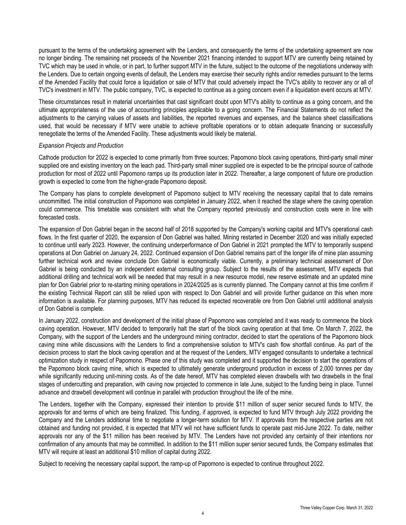pursuant to the terms of the undertaking agreement with the Lenders, and consequently the terms of the undertaking agreement are now no longer binding. The remaining net proceeds of the November 2021 financing intended to support MTV are currently being retained by TVC which may be used in whole, or in part, to further support MTV in the future, subject to the outcome of the negotiations underway with the Lenders. Due to certain ongoing events of default, the Lenders may exercise their security rights and/or remedies pursuant to the terms of the Amended Facility that could force a liquidation or sale of MTV that could adversely impact the TVC's ability to recover any or all of TVC's investment in MTV. The public company, TVC, is expected to continue as a going concern even if a liquidation event occurs at MTV.

These circumstances result in material uncertainties that cast significant doubt upon MTV's ability to continue as a going concern, and the ultimate appropriateness of the use of accounting principles applicable to a going concern. The Financial Statements do not reflect the adjustments to the carrying values of assets and liabilities, the reported revenues and expenses, and the balance sheet classifications used, that would be necessary if MTV were unable to achieve profitable operations or to obtain adequate financing or successfully renegotiate the terms of the Amended Facility. These adjustments would likely be material.

### *Expansion Projects and Production*

Cathode production for 2022 is expected to come primarily from three sources; Papomono block caving operations, third-party small miner supplied ore and existing inventory on the leach pad. Third-party small miner supplied ore is expected to be the principal source of cathode production for most of 2022 until Papomono ramps up its production later in 2022. Thereafter, a large component of future ore production growth is expected to come from the higher-grade Papomono deposit.

The Company has plans to complete development of Papomono subject to MTV receiving the necessary capital that to date remains uncommitted. The initial construction of Papomono was completed in January 2022, when it reached the stage where the caving operation could commence. This timetable was consistent with what the Company reported previously and construction costs were in line with forecasted costs.

The expansion of Don Gabriel began in the second half of 2018 supported by the Company's working capital and MTV's operational cash flows. In the first quarter of 2020, the expansion of Don Gabriel was halted. Mining restarted in December 2020 and was initially expected to continue until early 2023. However, the continuing underperformance of Don Gabriel in 2021 prompted the MTV to temporarily suspend operations at Don Gabriel on January 24, 2022. Continued expansion of Don Gabriel remains part of the longer life of mine plan assuming further technical work and review conclude Don Gabriel is economically viable. Currently, a preliminary technical assessment of Don Gabriel is being conducted by an independent external consulting group. Subject to the results of the assessment, MTV expects that additional drilling and technical work will be needed that may result in a new resource model, new reserve estimate and an updated mine plan for Don Gabriel prior to re-starting mining operations in 2024/2025 as is currently planned. The Company cannot at this time confirm if the existing Technical Report can still be relied upon with respect to Don Gabriel and will provide further guidance on this when more information is available. For planning purposes, MTV has reduced its expected recoverable ore from Don Gabriel until additional analysis of Don Gabriel is complete.

In January 2022, construction and development of the initial phase of Papomono was completed and it was ready to commence the block caving operation. However, MTV decided to temporarily halt the start of the block caving operation at that time. On March 7, 2022, the Company, with the support of the Lenders and the underground mining contractor, decided to start the operations of the Papomono block caving mine while discussions with the Lenders to find a comprehensive solution to MTV's cash flow shortfall continue. As part of the decision process to start the block caving operation and at the request of the Lenders, MTV engaged consultants to undertake a technical optimization study in respect of Papomono. Phase one of this study was completed and it supported the decision to start the operations of the Papomono block caving mine, which is expected to ultimately generate underground production in excess of 2,000 tonnes per day while significantly reducing unit-mining costs. As of the date hereof, MTV has completed eleven drawbells with two drawbells in the final stages of undercutting and preparation, with caving now projected to commence in late June, subject to the funding being in place. Tunnel advance and drawbell development will continue in parallel with production throughout the life of the mine.

The Lenders, together with the Company, expressed their intention to provide \$11 million of super senior secured funds to MTV, the approvals for and terms of which are being finalized. This funding, if approved, is expected to fund MTV through July 2022 providing the Company and the Lenders additional time to negotiate a longer-term solution for MTV. If approvals from the respective parties are not obtained and funding not provided, it is expected that MTV will not have sufficient funds to operate past mid-June 2022. To date, neither approvals nor any of the \$11 million has been received by MTV. The Lenders have not provided any certainty of their intentions nor confirmation of any amounts that may be committed. In addition to the \$11 million super senior secured funds, the Company estimates that MTV will require at least an additional \$10 million of capital during 2022.

Subject to receiving the necessary capital support, the ramp-up of Papomono is expected to continue throughout 2022.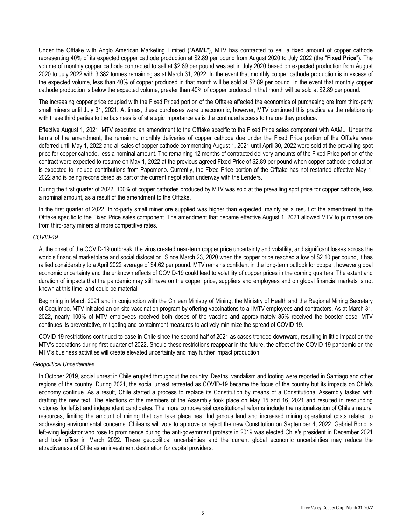Under the Offtake with Anglo American Marketing Limited ("**AAML**"), MTV has contracted to sell a fixed amount of copper cathode representing 40% of its expected copper cathode production at \$2.89 per pound from August 2020 to July 2022 (the "**Fixed Price**"). The volume of monthly copper cathode contracted to sell at \$2.89 per pound was set in July 2020 based on expected production from August 2020 to July 2022 with 3,382 tonnes remaining as at March 31, 2022. In the event that monthly copper cathode production is in excess of the expected volume, less than 40% of copper produced in that month will be sold at \$2.89 per pound. In the event that monthly copper cathode production is below the expected volume, greater than 40% of copper produced in that month will be sold at \$2.89 per pound.

The increasing copper price coupled with the Fixed Priced portion of the Offtake affected the economics of purchasing ore from third-party small miners until July 31, 2021. At times, these purchases were uneconomic, however, MTV continued this practice as the relationship with these third parties to the business is of strategic importance as is the continued access to the ore they produce.

Effective August 1, 2021, MTV executed an amendment to the Offtake specific to the Fixed Price sales component with AAML. Under the terms of the amendment, the remaining monthly deliveries of copper cathode due under the Fixed Price portion of the Offtake were deferred until May 1, 2022 and all sales of copper cathode commencing August 1, 2021 until April 30, 2022 were sold at the prevailing spot price for copper cathode, less a nominal amount. The remaining 12 months of contracted delivery amounts of the Fixed Price portion of the contract were expected to resume on May 1, 2022 at the previous agreed Fixed Price of \$2.89 per pound when copper cathode production is expected to include contributions from Papomono. Currently, the Fixed Price portion of the Offtake has not restarted effective May 1, 2022 and is being reconsidered as part of the current negotiation underway with the Lenders.

During the first quarter of 2022, 100% of copper cathodes produced by MTV was sold at the prevailing spot price for copper cathode, less a nominal amount, as a result of the amendment to the Offtake.

In the first quarter of 2022, third-party small miner ore supplied was higher than expected, mainly as a result of the amendment to the Offtake specific to the Fixed Price sales component. The amendment that became effective August 1, 2021 allowed MTV to purchase ore from third-party miners at more competitive rates.

#### *COVID-19*

At the onset of the COVID-19 outbreak, the virus created near-term copper price uncertainty and volatility, and significant losses across the world's financial marketplace and social dislocation. Since March 23, 2020 when the copper price reached a low of \$2.10 per pound, it has rallied considerably to a April 2022 average of \$4.62 per pound. MTV remains confident in the long-term outlook for copper, however global economic uncertainty and the unknown effects of COVID-19 could lead to volatility of copper prices in the coming quarters. The extent and duration of impacts that the pandemic may still have on the copper price, suppliers and employees and on global financial markets is not known at this time, and could be material.

Beginning in March 2021 and in conjunction with the Chilean Ministry of Mining, the Ministry of Health and the Regional Mining Secretary of Coquimbo, MTV initiated an on-site vaccination program by offering vaccinations to all MTV employees and contractors. As at March 31, 2022, nearly 100% of MTV employees received both doses of the vaccine and approximately 85% received the booster dose. MTV continues its preventative, mitigating and containment measures to actively minimize the spread of COVID-19.

COVID-19 restrictions continued to ease in Chile since the second half of 2021 as cases trended downward, resulting in little impact on the MTV's operations during first quarter of 2022. Should these restrictions reappear in the future, the effect of the COVID-19 pandemic on the MTV's business activities will create elevated uncertainty and may further impact production.

## *Geopolitical Uncertainties*

In October 2019, social unrest in Chile erupted throughout the country. Deaths, vandalism and looting were reported in Santiago and other regions of the country. During 2021, the social unrest retreated as COVID-19 became the focus of the country but its impacts on Chile's economy continue. As a result, Chile started a process to replace its Constitution by means of a Constitutional Assembly tasked with drafting the new text. The elections of the members of the Assembly took place on May 15 and 16, 2021 and resulted in resounding victories for leftist and independent candidates. The more controversial constitutional reforms include the nationalization of Chile's natural resources, limiting the amount of mining that can take place near Indigenous land and increased mining operational costs related to addressing environmental concerns. Chileans will vote to approve or reject the new Constitution on September 4, 2022. Gabriel Boric, a left-wing legislator who rose to prominence during the anti-government protests in 2019 was elected Chile's president in December 2021 and took office in March 2022. These geopolitical uncertainties and the current global economic uncertainties may reduce the attractiveness of Chile as an investment destination for capital providers.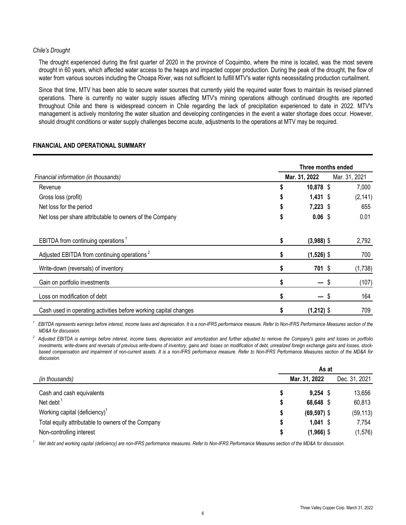## *Chile's Drought*

The drought experienced during the first quarter of 2020 in the province of Coquimbo, where the mine is located, was the most severe drought in 60 years, which affected water access to the heaps and impacted copper production. During the peak of the drought, the flow of water from various sources including the Choapa River, was not sufficient to fulfill MTV's water rights necessitating production curtailment.

Since that time, MTV has been able to secure water sources that currently yield the required water flows to maintain its revised planned operations. There is currently no water supply issues affecting MTV's mining operations although continued droughts are reported throughout Chile and there is widespread concern in Chile regarding the lack of precipitation experienced to date in 2022. MTV's management is actively monitoring the water situation and developing contingencies in the event a water shortage does occur. However, should drought conditions or water supply challenges become acute, adjustments to the operations at MTV may be required.

# **FINANCIAL AND OPERATIONAL SUMMARY**

|                                                                  |    | Three months ended |   |               |
|------------------------------------------------------------------|----|--------------------|---|---------------|
| Financial information (in thousands)                             |    | Mar. 31, 2022      |   | Mar. 31, 2021 |
| Revenue                                                          | \$ | 10,878 \$          |   | 7,000         |
| Gross loss (profit)                                              |    | $1,431$ \$         |   | (2, 141)      |
| Net loss for the period                                          | \$ | $7,223$ \$         |   | 655           |
| Net loss per share attributable to owners of the Company         | \$ | $0.06$ \$          |   | 0.01          |
| EBITDA from continuing operations <sup>1</sup>                   | \$ | $(3,988)$ \$       |   | 2,792         |
| Adjusted EBITDA from continuing operations <sup>2</sup>          | \$ | $(1,526)$ \$       |   | 700           |
| Write-down (reversals) of inventory                              |    | $701$ \$           |   | (1,738)       |
| Gain on portfolio investments                                    | \$ | — \$               |   | (107)         |
| Loss on modification of debt                                     | S  |                    | S | 164           |
| Cash used in operating activities before working capital changes | \$ | $(1,212)$ \$       |   | 709           |

*1 EBITDA represents earnings before interest, income taxes and depreciation. It is a non-IFRS performance measure. Refer to Non-IFRS Performance Measures section of the MD&A for discussion.*

*2 Adjusted EBITDA is earnings before interest, income taxes, depreciation and amortization and further adjusted to remove the Company's gains and losses on portfolio investments, write-downs and reversals of previous write-downs of inventory, gains and losses on modification of debt, unrealized foreign exchange gains and losses, stockbased compensation and impairment of non-current assets. It is a non-IFRS performance measure. Refer to Non-IFRS Performance Measures section of the MD&A for discussion.*

|                                                    | As at |                |               |  |  |  |  |  |  |
|----------------------------------------------------|-------|----------------|---------------|--|--|--|--|--|--|
| (in thousands)                                     |       | Mar. 31, 2022  | Dec. 31, 2021 |  |  |  |  |  |  |
| Cash and cash equivalents                          |       | $9,254$ \$     | 13,656        |  |  |  |  |  |  |
| Net debt $1$                                       | \$    | 68,648 \$      | 60,813        |  |  |  |  |  |  |
| Working capital (deficiency) <sup>1</sup>          | \$    | $(69, 597)$ \$ | (59, 113)     |  |  |  |  |  |  |
| Total equity attributable to owners of the Company | \$    | $1,041$ \$     | 7,754         |  |  |  |  |  |  |
| Non-controlling interest                           |       | $(1,966)$ \$   | (1,576)       |  |  |  |  |  |  |

<sup>1</sup> Net debt and working capital (deficiency) are non-IFRS performance measures. Refer to Non-IFRS Performance Measures section of the MD&A for discussion.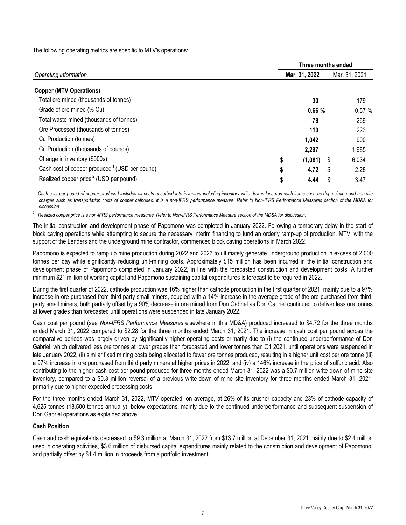The following operating metrics are specific to MTV's operations:

|                                                           | Three months ended |               |              |  |  |  |  |  |  |
|-----------------------------------------------------------|--------------------|---------------|--------------|--|--|--|--|--|--|
| Operating information                                     | Mar. 31, 2022      | Mar. 31, 2021 |              |  |  |  |  |  |  |
| <b>Copper (MTV Operations)</b>                            |                    |               |              |  |  |  |  |  |  |
| Total ore mined (thousands of tonnes)                     |                    | 30            | 179          |  |  |  |  |  |  |
| Grade of ore mined (% Cu)                                 |                    | 0.66%         | 0.57%        |  |  |  |  |  |  |
| Total waste mined (thousands of tonnes)                   |                    | 78            | 269          |  |  |  |  |  |  |
| Ore Processed (thousands of tonnes)                       |                    | 110           | 223          |  |  |  |  |  |  |
| Cu Production (tonnes)                                    |                    | 1,042         | 900          |  |  |  |  |  |  |
| Cu Production (thousands of pounds)                       |                    | 2,297         | 1,985        |  |  |  |  |  |  |
| Change in inventory (\$000s)                              | \$                 | (1,061)       | 6.034<br>- 5 |  |  |  |  |  |  |
| Cash cost of copper produced <sup>1</sup> (USD per pound) | \$                 | 4.72          | 2.28<br>\$.  |  |  |  |  |  |  |
| Realized copper price <sup>2</sup> (USD per pound)        | \$                 | 4.44          | 3.47         |  |  |  |  |  |  |

*<sup>1</sup>Cash cost per pound of copper produced includes all costs absorbed into inventory including inventory write-downs less non-cash items such as depreciation and non-site charges such as transportation costs of copper cathodes. It is a non-IFRS performance measure. Refer to Non-IFRS Performance Measures section of the MD&A for discussion.* 

*2 Realized copper price is a non-IFRS performance measures. Refer to Non-IFRS Performance Measure section of the MD&A for discussion.* 

The initial construction and development phase of Papomono was completed in January 2022. Following a temporary delay in the start of block caving operations while attempting to secure the necessary interim financing to fund an orderly ramp-up of production, MTV, with the support of the Lenders and the underground mine contractor, commenced block caving operations in March 2022.

Papomono is expected to ramp up mine production during 2022 and 2023 to ultimately generate underground production in excess of 2,000 tonnes per day while significantly reducing unit-mining costs. Approximately \$15 million has been incurred in the initial construction and development phase of Papomono completed in January 2022, in line with the forecasted construction and development costs. A further minimum \$21 million of working capital and Papomono sustaining capital expenditures is forecast to be required in 2022.

During the first quarter of 2022, cathode production was 16% higher than cathode production in the first quarter of 2021, mainly due to a 97% increase in ore purchased from third-party small miners, coupled with a 14% increase in the average grade of the ore purchased from thirdparty small miners; both partially offset by a 90% decrease in ore mined from Don Gabriel as Don Gabriel continued to deliver less ore tonnes at lower grades than forecasted until operations were suspended in late January 2022.

Cash cost per pound (see *Non-IFRS Performance Measures* elsewhere in this MD&A) produced increased to \$4.72 for the three months ended March 31, 2022 compared to \$2.28 for the three months ended March 31, 2021. The increase in cash cost per pound across the comparative periods was largely driven by significantly higher operating costs primarily due to (i) the continued underperformance of Don Gabriel, which delivered less ore tonnes at lower grades than forecasted and lower tonnes than Q1 2021, until operations were suspended in late January 2022, (ii) similar fixed mining costs being allocated to fewer ore tonnes produced, resulting in a higher unit cost per ore tonne (iii) a 97% increase in ore purchased from third party miners at higher prices in 2022, and (iv) a 146% increase in the price of sulfuric acid. Also contributing to the higher cash cost per pound produced for three months ended March 31, 2022 was a \$0.7 million write-down of mine site inventory, compared to a \$0.3 million reversal of a previous write-down of mine site inventory for three months ended March 31, 2021, primarily due to higher expected processing costs.

For the three months ended March 31, 2022, MTV operated, on average, at 26% of its crusher capacity and 23% of cathode capacity of 4,625 tonnes (18,500 tonnes annually), below expectations, mainly due to the continued underperformance and subsequent suspension of Don Gabriel operations as explained above.

# **Cash Position**

Cash and cash equivalents decreased to \$9.3 million at March 31, 2022 from \$13.7 million at December 31, 2021 mainly due to \$2.4 million used in operating activities, \$3.6 million of disbursed capital expenditures mainly related to the construction and development of Papomono, and partially offset by \$1.4 million in proceeds from a portfolio investment.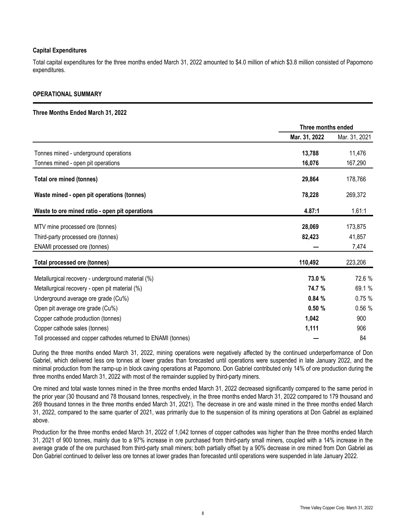# **Capital Expenditures**

Total capital expenditures for the three months ended March 31, 2022 amounted to \$4.0 million of which \$3.8 million consisted of Papomono expenditures.

## **OPERATIONAL SUMMARY**

### **Three Months Ended March 31, 2022**

|                                                               | Three months ended |               |  |
|---------------------------------------------------------------|--------------------|---------------|--|
|                                                               | Mar. 31, 2022      | Mar. 31, 2021 |  |
| Tonnes mined - underground operations                         | 13,788             | 11,476        |  |
| Tonnes mined - open pit operations                            | 16,076             | 167,290       |  |
| Total ore mined (tonnes)                                      | 29,864             | 178,766       |  |
| Waste mined - open pit operations (tonnes)                    | 78,228             | 269,372       |  |
| Waste to ore mined ratio - open pit operations                | 4.87:1             | 1.61:1        |  |
| MTV mine processed ore (tonnes)                               | 28,069             | 173,875       |  |
| Third-party processed ore (tonnes)                            | 82,423             | 41,857        |  |
| ENAMI processed ore (tonnes)                                  |                    | 7,474         |  |
| Total processed ore (tonnes)                                  | 110,492            | 223,206       |  |
| Metallurgical recovery - underground material (%)             | 73.0 %             | 72.6 %        |  |
| Metallurgical recovery - open pit material (%)                | 74.7 %             | 69.1 %        |  |
| Underground average ore grade (Cu%)                           | 0.84%              | 0.75%         |  |
| Open pit average ore grade (Cu%)                              | 0.50%              | 0.56 %        |  |
| Copper cathode production (tonnes)                            | 1,042              | 900           |  |
| Copper cathode sales (tonnes)                                 | 1,111              | 906           |  |
| Toll processed and copper cathodes returned to ENAMI (tonnes) |                    | 84            |  |

During the three months ended March 31, 2022, mining operations were negatively affected by the continued underperformance of Don Gabriel, which delivered less ore tonnes at lower grades than forecasted until operations were suspended in late January 2022, and the minimal production from the ramp-up in block caving operations at Papomono. Don Gabriel contributed only 14% of ore production during the three months ended March 31, 2022 with most of the remainder supplied by third-party miners.

Ore mined and total waste tonnes mined in the three months ended March 31, 2022 decreased significantly compared to the same period in the prior year (30 thousand and 78 thousand tonnes, respectively, in the three months ended March 31, 2022 compared to 179 thousand and 269 thousand tonnes in the three months ended March 31, 2021). The decrease in ore and waste mined in the three months ended March 31, 2022, compared to the same quarter of 2021, was primarily due to the suspension of its mining operations at Don Gabriel as explained above.

Production for the three months ended March 31, 2022 of 1,042 tonnes of copper cathodes was higher than the three months ended March 31, 2021 of 900 tonnes, mainly due to a 97% increase in ore purchased from third-party small miners, coupled with a 14% increase in the average grade of the ore purchased from third-party small miners; both partially offset by a 90% decrease in ore mined from Don Gabriel as Don Gabriel continued to deliver less ore tonnes at lower grades than forecasted until operations were suspended in late January 2022.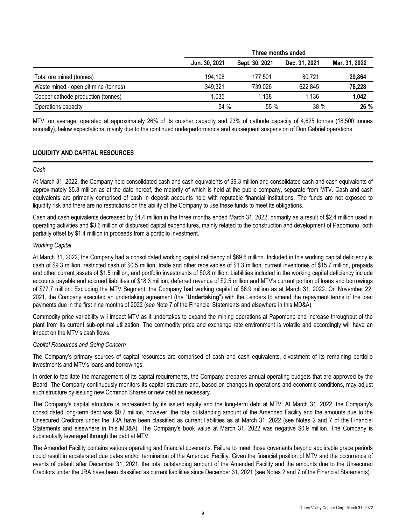|                                      |               | Three months ended |               |               |  |  |  |  |  |
|--------------------------------------|---------------|--------------------|---------------|---------------|--|--|--|--|--|
|                                      | Jun. 30, 2021 | Sept. 30, 2021     | Dec. 31, 2021 | Mar. 31, 2022 |  |  |  |  |  |
| Total ore mined (tonnes)             | 194.108       | 177.501            | 80.721        | 29,864        |  |  |  |  |  |
| Waste mined - open pit mine (tonnes) | 349,321       | 739,026            | 622,845       | 78,228        |  |  |  |  |  |
| Copper cathode production (tonnes)   | 1.035         | 1,138              | 1.136         | 1,042         |  |  |  |  |  |
| Operations capacity                  | 54 %          | $55\%$             | 38%           | 26 %          |  |  |  |  |  |

MTV, on average, operated at approximately 26% of its crusher capacity and 23% of cathode capacity of 4,625 tonnes (18,500 tonnes annually), below expectations, mainly due to the continued underperformance and subsequent suspension of Don Gabriel operations.

# **LIQUIDITY AND CAPITAL RESOURCES**

### *Cash*

At March 31, 2022, the Company held consolidated cash and cash equivalents of \$9.3 million and consolidated cash and cash equivalents of approximately \$5.8 million as at the date hereof, the majority of which is held at the public company, separate from MTV. Cash and cash equivalents are primarily comprised of cash in deposit accounts held with reputable financial institutions. The funds are not exposed to liquidity risk and there are no restrictions on the ability of the Company to use these funds to meet its obligations.

Cash and cash equivalents decreased by \$4.4 million in the three months ended March 31, 2022, primarily as a result of \$2.4 million used in operating activities and \$3.6 million of disbursed capital expenditures, mainly related to the construction and development of Papomono, both partially offset by \$1.4 million in proceeds from a portfolio investment.

# *Working Capital*

At March 31, 2022, the Company had a consolidated working capital deficiency of \$69.6 million. Included in this working capital deficiency is cash of \$9.3 million, restricted cash of \$0.5 million, trade and other receivables of \$1.3 million, current inventories of \$15.7 million, prepaids and other current assets of \$1.5 million, and portfolio investments of \$0.8 million. Liabilities included in the working capital deficiency include accounts payable and accrued liabilities of \$18.3 million, deferred revenue of \$2.5 million and MTV's current portion of loans and borrowings of \$77.7 million. Excluding the MTV Segment, the Company had working capital of \$6.9 million as at March 31, 2022. On November 22, 2021, the Company executed an undertaking agreement (the "**Undertaking**") with the Lenders to amend the repayment terms of the loan payments due in the first nine months of 2022 (see Note 7 of the Financial Statements and elsewhere in this MD&A).

Commodity price variability will impact MTV as it undertakes to expand the mining operations at Papomono and increase throughput of the plant from its current sub-optimal utilization. The commodity price and exchange rate environment is volatile and accordingly will have an impact on the MTV's cash flows.

# *Capital Resources and Going Concern*

The Company's primary sources of capital resources are comprised of cash and cash equivalents, divestment of its remaining portfolio investments and MTV's loans and borrowings.

In order to facilitate the management of its capital requirements, the Company prepares annual operating budgets that are approved by the Board. The Company continuously monitors its capital structure and, based on changes in operations and economic conditions, may adjust such structure by issuing new Common Shares or new debt as necessary.

The Company's capital structure is represented by its issued equity and the long-term debt at MTV. At March 31, 2022, the Company's consolidated long-term debt was \$0.2 million, however, the total outstanding amount of the Amended Facility and the amounts due to the Unsecured Creditors under the JRA have been classified as current liabilities as at March 31, 2022 (see Notes 2 and 7 of the Financial Statements and elsewhere in this MD&A). The Company's book value at March 31, 2022 was negative \$0.9 million. The Company is substantially leveraged through the debt at MTV.

The Amended Facility contains various operating and financial covenants. Failure to meet those covenants beyond applicable grace periods could result in accelerated due dates and/or termination of the Amended Facility. Given the financial position of MTV and the occurrence of events of default after December 31, 2021, the total outstanding amount of the Amended Facility and the amounts due to the Unsecured Creditors under the JRA have been classified as current liabilities since December 31, 2021 (see Notes 2 and 7 of the Financial Statements).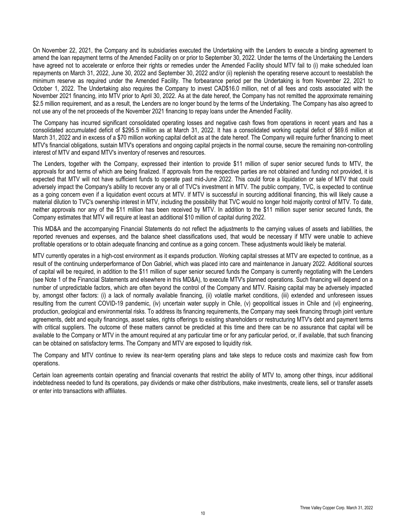On November 22, 2021, the Company and its subsidiaries executed the Undertaking with the Lenders to execute a binding agreement to amend the loan repayment terms of the Amended Facility on or prior to September 30, 2022. Under the terms of the Undertaking the Lenders have agreed not to accelerate or enforce their rights or remedies under the Amended Facility should MTV fail to (i) make scheduled loan repayments on March 31, 2022, June 30, 2022 and September 30, 2022 and/or (ii) replenish the operating reserve account to reestablish the minimum reserve as required under the Amended Facility. The forbearance period per the Undertaking is from November 22, 2021 to October 1, 2022. The Undertaking also requires the Company to invest CAD\$16.0 million, net of all fees and costs associated with the November 2021 financing, into MTV prior to April 30, 2022. As at the date hereof, the Company has not remitted the approximate remaining \$2.5 million requirement, and as a result, the Lenders are no longer bound by the terms of the Undertaking. The Company has also agreed to not use any of the net proceeds of the November 2021 financing to repay loans under the Amended Facility.

The Company has incurred significant consolidated operating losses and negative cash flows from operations in recent years and has a consolidated accumulated deficit of \$295.5 million as at March 31, 2022. It has a consolidated working capital deficit of \$69.6 million at March 31, 2022 and in excess of a \$70 million working capital deficit as at the date hereof. The Company will require further financing to meet MTV's financial obligations, sustain MTV's operations and ongoing capital projects in the normal course, secure the remaining non-controlling interest of MTV and expand MTV's inventory of reserves and resources.

The Lenders, together with the Company, expressed their intention to provide \$11 million of super senior secured funds to MTV, the approvals for and terms of which are being finalized. If approvals from the respective parties are not obtained and funding not provided, it is expected that MTV will not have sufficient funds to operate past mid-June 2022. This could force a liquidation or sale of MTV that could adversely impact the Company's ability to recover any or all of TVC's investment in MTV. The public company, TVC, is expected to continue as a going concern even if a liquidation event occurs at MTV. If MTV is successful in sourcing additional financing, this will likely cause a material dilution to TVC's ownership interest in MTV, including the possibility that TVC would no longer hold majority control of MTV. To date, neither approvals nor any of the \$11 million has been received by MTV. In addition to the \$11 million super senior secured funds, the Company estimates that MTV will require at least an additional \$10 million of capital during 2022.

This MD&A and the accompanying Financial Statements do not reflect the adjustments to the carrying values of assets and liabilities, the reported revenues and expenses, and the balance sheet classifications used, that would be necessary if MTV were unable to achieve profitable operations or to obtain adequate financing and continue as a going concern. These adjustments would likely be material.

MTV currently operates in a high-cost environment as it expands production. Working capital stresses at MTV are expected to continue, as a result of the continuing underperformance of Don Gabriel, which was placed into care and maintenance in January 2022. Additional sources of capital will be required, in addition to the \$11 million of super senior secured funds the Company is currently negotiating with the Lenders (see Note 1 of the Financial Statements and elsewhere in this MD&A), to execute MTV's planned operations. Such financing will depend on a number of unpredictable factors, which are often beyond the control of the Company and MTV. Raising capital may be adversely impacted by, amongst other factors: (i) a lack of normally available financing, (ii) volatile market conditions, (iii) extended and unforeseen issues resulting from the current COVID-19 pandemic, (iv) uncertain water supply in Chile, (v) geopolitical issues in Chile and (vi) engineering, production, geological and environmental risks. To address its financing requirements, the Company may seek financing through joint venture agreements, debt and equity financings, asset sales, rights offerings to existing shareholders or restructuring MTV's debt and payment terms with critical suppliers. The outcome of these matters cannot be predicted at this time and there can be no assurance that capital will be available to the Company or MTV in the amount required at any particular time or for any particular period, or, if available, that such financing can be obtained on satisfactory terms. The Company and MTV are exposed to liquidity risk.

The Company and MTV continue to review its near-term operating plans and take steps to reduce costs and maximize cash flow from operations.

Certain loan agreements contain operating and financial covenants that restrict the ability of MTV to, among other things, incur additional indebtedness needed to fund its operations, pay dividends or make other distributions, make investments, create liens, sell or transfer assets or enter into transactions with affiliates.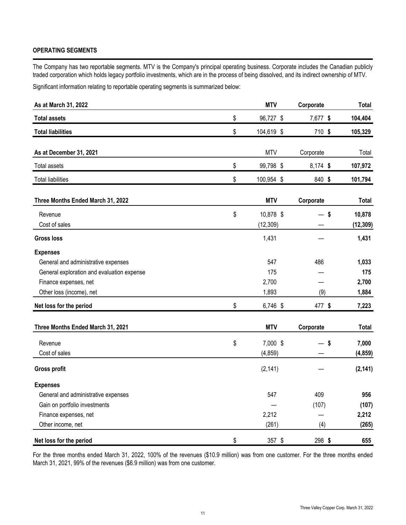# **OPERATING SEGMENTS**

The Company has two reportable segments. MTV is the Company's principal operating business. Corporate includes the Canadian publicly traded corporation which holds legacy portfolio investments, which are in the process of being dissolved, and its indirect ownership of MTV.

Significant information relating to reportable operating segments is summarized below:

| As at March 31, 2022                       | <b>MTV</b>       | Corporate | <b>Total</b> |
|--------------------------------------------|------------------|-----------|--------------|
| <b>Total assets</b>                        | \$<br>96,727 \$  | 7,677 \$  | 104,404      |
| <b>Total liabilities</b>                   | \$<br>104,619 \$ | 710 \$    | 105,329      |
| As at December 31, 2021                    | <b>MTV</b>       | Corporate | Total        |
| Total assets                               | \$<br>99,798 \$  | 8,174 \$  | 107,972      |
| <b>Total liabilities</b>                   | \$<br>100,954 \$ | 840 \$    | 101,794      |
| Three Months Ended March 31, 2022          | <b>MTV</b>       | Corporate | Total        |
| Revenue                                    | \$<br>10,878 \$  | $-$ \$    | 10,878       |
| Cost of sales                              | (12, 309)        |           | (12, 309)    |
| <b>Gross loss</b>                          | 1,431            |           | 1,431        |
| <b>Expenses</b>                            |                  |           |              |
| General and administrative expenses        | 547              | 486       | 1,033        |
| General exploration and evaluation expense | 175              |           | 175          |
| Finance expenses, net                      | 2,700            |           | 2,700        |
| Other loss (income), net                   | 1,893            | (9)       | 1,884        |
| Net loss for the period                    | \$<br>6,746 \$   | 477 \$    | 7,223        |
| Three Months Ended March 31, 2021          | <b>MTV</b>       | Corporate | <b>Total</b> |
| Revenue                                    | \$<br>7,000 \$   | $-$ \$    | 7,000        |
| Cost of sales                              | (4, 859)         |           | (4, 859)     |
| <b>Gross profit</b>                        | (2, 141)         |           | (2, 141)     |
| <b>Expenses</b>                            |                  |           |              |
| General and administrative expenses        | 547              | 409       | 956          |
| Gain on portfolio investments              |                  | (107)     | (107)        |
| Finance expenses, net                      | 2,212            |           | 2,212        |
| Other income, net                          | (261)            | (4)       | (265)        |
| Net loss for the period                    | \$<br>$357$ \$   | 298 \$    | 655          |

For the three months ended March 31, 2022, 100% of the revenues (\$10.9 million) was from one customer. For the three months ended March 31, 2021, 99% of the revenues (\$6.9 million) was from one customer.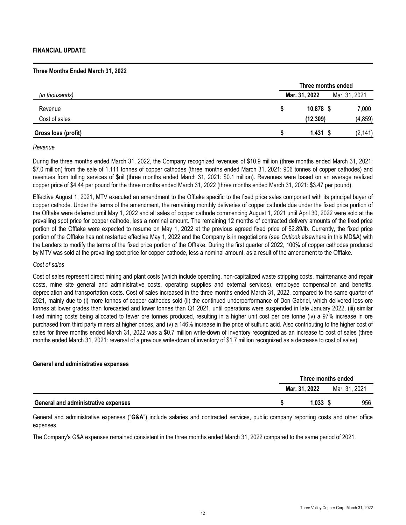## **Three Months Ended March 31, 2022**

|                     |               | Three months ended |               |  |  |  |  |  |  |  |
|---------------------|---------------|--------------------|---------------|--|--|--|--|--|--|--|
| (in thousands)      | Mar. 31, 2022 |                    | Mar. 31, 2021 |  |  |  |  |  |  |  |
| Revenue             |               | $10,878$ \$        | 7,000         |  |  |  |  |  |  |  |
| Cost of sales       |               | (12, 309)          | (4, 859)      |  |  |  |  |  |  |  |
| Gross loss (profit) |               | $1,431$ \$         | (2, 141)      |  |  |  |  |  |  |  |

#### *Revenue*

During the three months ended March 31, 2022, the Company recognized revenues of \$10.9 million (three months ended March 31, 2021: \$7.0 million) from the sale of 1,111 tonnes of copper cathodes (three months ended March 31, 2021: 906 tonnes of copper cathodes) and revenues from tolling services of \$nil (three months ended March 31, 2021: \$0.1 million). Revenues were based on an average realized copper price of \$4.44 per pound for the three months ended March 31, 2022 (three months ended March 31, 2021: \$3.47 per pound).

Effective August 1, 2021, MTV executed an amendment to the Offtake specific to the fixed price sales component with its principal buyer of copper cathode. Under the terms of the amendment, the remaining monthly deliveries of copper cathode due under the fixed price portion of the Offtake were deferred until May 1, 2022 and all sales of copper cathode commencing August 1, 2021 until April 30, 2022 were sold at the prevailing spot price for copper cathode, less a nominal amount. The remaining 12 months of contracted delivery amounts of the fixed price portion of the Offtake were expected to resume on May 1, 2022 at the previous agreed fixed price of \$2.89/lb. Currently, the fixed price portion of the Offtake has not restarted effective May 1, 2022 and the Company is in negotiations (see *Outlook* elsewhere in this MD&A) with the Lenders to modify the terms of the fixed price portion of the Offtake. During the first quarter of 2022, 100% of copper cathodes produced by MTV was sold at the prevailing spot price for copper cathode, less a nominal amount, as a result of the amendment to the Offtake.

#### *Cost of sales*

Cost of sales represent direct mining and plant costs (which include operating, non-capitalized waste stripping costs, maintenance and repair costs, mine site general and administrative costs, operating supplies and external services), employee compensation and benefits, depreciation and transportation costs. Cost of sales increased in the three months ended March 31, 2022, compared to the same quarter of 2021, mainly due to (i) more tonnes of copper cathodes sold (ii) the continued underperformance of Don Gabriel, which delivered less ore tonnes at lower grades than forecasted and lower tonnes than Q1 2021, until operations were suspended in late January 2022, (iii) similar fixed mining costs being allocated to fewer ore tonnes produced, resulting in a higher unit cost per ore tonne (iv) a 97% increase in ore purchased from third party miners at higher prices, and (v) a 146% increase in the price of sulfuric acid. Also contributing to the higher cost of sales for three months ended March 31, 2022 was a \$0.7 million write-down of inventory recognized as an increase to cost of sales (three months ended March 31, 2021: reversal of a previous write-down of inventory of \$1.7 million recognized as a decrease to cost of sales).

## **General and administrative expenses**

|                                     | Three months ended |  |               |  |  |  |
|-------------------------------------|--------------------|--|---------------|--|--|--|
|                                     | Mar. 31. 2022      |  | Mar. 31, 2021 |  |  |  |
| General and administrative expenses | 1,033              |  | 956           |  |  |  |

General and administrative expenses ("**G&A**") include salaries and contracted services, public company reporting costs and other office expenses.

The Company's G&A expenses remained consistent in the three months ended March 31, 2022 compared to the same period of 2021.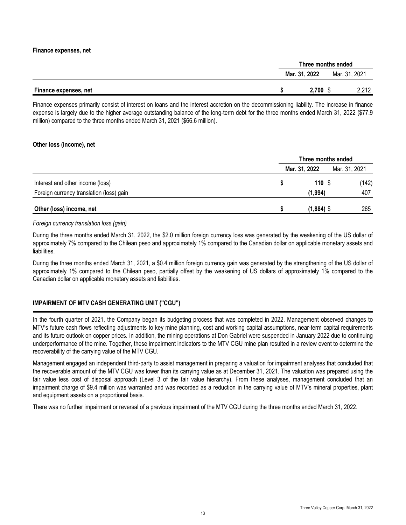### **Finance expenses, net**

|                              |               | Three months ended |       |  |  |  |
|------------------------------|---------------|--------------------|-------|--|--|--|
|                              | Mar. 31, 2022 | Mar. 31, 2021      |       |  |  |  |
| <b>Finance expenses, net</b> | 2,700         |                    | 2,212 |  |  |  |

Finance expenses primarily consist of interest on loans and the interest accretion on the decommissioning liability. The increase in finance expense is largely due to the higher average outstanding balance of the long-term debt for the three months ended March 31, 2022 (\$77.9 million) compared to the three months ended March 31, 2021 (\$66.6 million).

## **Other loss (income), net**

|                                          | Three months ended |              |               |       |  |  |
|------------------------------------------|--------------------|--------------|---------------|-------|--|--|
|                                          | Mar. 31, 2022      |              | Mar. 31, 2021 |       |  |  |
| Interest and other income (loss)         |                    | 110S         |               | (142) |  |  |
| Foreign currency translation (loss) gain |                    | (1,994)      |               | 407   |  |  |
| Other (loss) income, net                 |                    | $(1,884)$ \$ |               | 265   |  |  |

### *Foreign currency translation loss (gain)*

During the three months ended March 31, 2022, the \$2.0 million foreign currency loss was generated by the weakening of the US dollar of approximately 7% compared to the Chilean peso and approximately 1% compared to the Canadian dollar on applicable monetary assets and liabilities.

During the three months ended March 31, 2021, a \$0.4 million foreign currency gain was generated by the strengthening of the US dollar of approximately 1% compared to the Chilean peso, partially offset by the weakening of US dollars of approximately 1% compared to the Canadian dollar on applicable monetary assets and liabilities.

# **IMPAIRMENT OF MTV CASH GENERATING UNIT ("CGU")**

In the fourth quarter of 2021, the Company began its budgeting process that was completed in 2022. Management observed changes to MTV's future cash flows reflecting adjustments to key mine planning, cost and working capital assumptions, near-term capital requirements and its future outlook on copper prices. In addition, the mining operations at Don Gabriel were suspended in January 2022 due to continuing underperformance of the mine. Together, these impairment indicators to the MTV CGU mine plan resulted in a review event to determine the recoverability of the carrying value of the MTV CGU.

Management engaged an independent third-party to assist management in preparing a valuation for impairment analyses that concluded that the recoverable amount of the MTV CGU was lower than its carrying value as at December 31, 2021. The valuation was prepared using the fair value less cost of disposal approach (Level 3 of the fair value hierarchy). From these analyses, management concluded that an impairment charge of \$9.4 million was warranted and was recorded as a reduction in the carrying value of MTV's mineral properties, plant and equipment assets on a proportional basis.

There was no further impairment or reversal of a previous impairment of the MTV CGU during the three months ended March 31, 2022.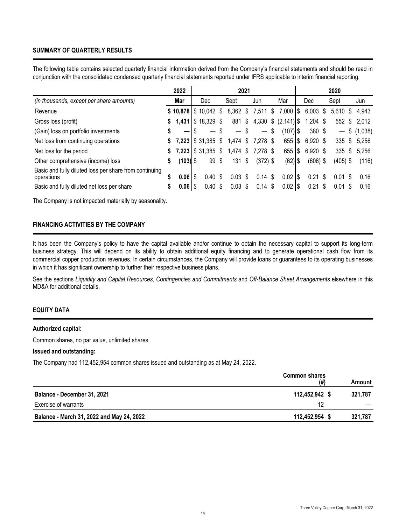# **SUMMARY OF QUARTERLY RESULTS**

The following table contains selected quarterly financial information derived from the Company's financial statements and should be read in conjunction with the consolidated condensed quarterly financial statements reported under IFRS applicable to interim financial reporting.

|                                                                      |    | 2022       | 2021 |                             |    |            | 2020 |                   |                             |     |            |  |            |  |                |
|----------------------------------------------------------------------|----|------------|------|-----------------------------|----|------------|------|-------------------|-----------------------------|-----|------------|--|------------|--|----------------|
| (in thousands, except per share amounts)                             |    | Mar        |      | Dec                         |    | Sept       |      | Jun               | Mar                         |     | Dec.       |  | Sept       |  | Jun            |
| Revenue                                                              |    |            |      | $$10,878$ $$10,042$ \$      |    | 8,362 \$   |      | 7,511             | \$<br>$7,000$ $\frac{1}{3}$ |     | $6,003$ \$ |  | $5,610$ \$ |  | 4.943          |
| Gross loss (profit)                                                  | S. |            |      | <b>1,431   \$</b> 18,329 \$ |    | 881 \$     |      |                   | 4,330 $$ (2,141)$           |     | $1,204$ \$ |  |            |  | 552 \$ 2,012   |
| (Gain) loss on portfolio investments                                 | \$ | –          |      | $\overline{\phantom{m}}$    |    | $\sim$ 1   | S    | $\qquad \qquad -$ | \$<br>$(107)$ \$            |     | 380 \$     |  |            |  | $-$ \$ (1,038) |
| Net loss from continuing operations                                  |    |            |      | $$7,223$ $$31,385$          | S. | $1,474$ \$ |      | 7,278 \$          | 655 l                       | Ι\$ | 6,920 \$   |  |            |  | 335 \$ 5,256   |
| Net loss for the period                                              | S. |            |      | <b>7,223   \$</b> 31,385 \$ |    | $1,474$ \$ |      | 7,278 \$          | 655 l                       | S   | $6,920$ \$ |  | $335$ \$   |  | 5,256          |
| Other comprehensive (income) loss                                    | \$ | $(103)$ \$ |      | 99                          | \$ | $131$ \$   |      | $(372)$ \$        | $(62)$ \$                   |     | $(606)$ \$ |  | $(405)$ \$ |  | (116)          |
| Basic and fully diluted loss per share from continuing<br>operations |    | $0.061$ \$ |      | $0.40 \text{ }$ \$          |    | $0.03$ \$  |      | 0.14S             | 0.02                        | 8   | $0.21$ \$  |  | $0.01$ \$  |  | 0.16           |
| Basic and fully diluted net loss per share                           |    | $0.06$  \$ |      | $0.40 \text{ }$ \$          |    | $0.03$ \$  |      | $0.14$ \$         | $0.02$   \$                 |     | $0.21$ \$  |  | $0.01$ \$  |  | 0.16           |

The Company is not impacted materially by seasonality.

# **FINANCING ACTIVITIES BY THE COMPANY**

It has been the Company's policy to have the capital available and/or continue to obtain the necessary capital to support its long-term business strategy. This will depend on its ability to obtain additional equity financing and to generate operational cash flow from its commercial copper production revenues. In certain circumstances, the Company will provide loans or guarantees to its operating businesses in which it has significant ownership to further their respective business plans.

See the sections *Liquidity and Capital Resources, Contingencies and Commitments* and *Off-Balance Sheet Arrangements* elsewhere in this MD&A for additional details.

# **EQUITY DATA**

#### **Authorized capital:**

Common shares, no par value, unlimited shares.

#### **Issued and outstanding:**

The Company had 112,452,954 common shares issued and outstanding as at May 24, 2022.

|                                           | <b>Common shares</b><br>(#) | Amount  |
|-------------------------------------------|-----------------------------|---------|
| Balance - December 31, 2021               | 112,452,942                 | 321.787 |
| Exercise of warrants                      |                             |         |
| Balance - March 31, 2022 and May 24, 2022 | 112,452,954                 | 321.787 |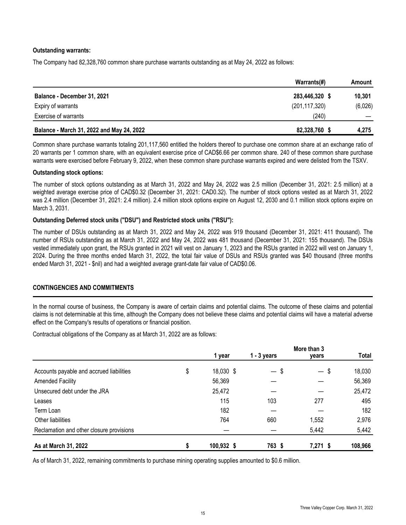# **Outstanding warrants:**

The Company had 82,328,760 common share purchase warrants outstanding as at May 24, 2022 as follows:

|                                           | Warrants(#)     | Amount  |
|-------------------------------------------|-----------------|---------|
| Balance - December 31, 2021               | 283,446,320 \$  | 10,301  |
| Expiry of warrants                        | (201, 117, 320) | (6,026) |
| Exercise of warrants                      | (240)           |         |
| Balance - March 31, 2022 and May 24, 2022 | 82,328,760      | 4,275   |

Common share purchase warrants totaling 201,117,560 entitled the holders thereof to purchase one common share at an exchange ratio of 20 warrants per 1 common share, with an equivalent exercise price of CAD\$6.66 per common share. 240 of these common share purchase warrants were exercised before February 9, 2022, when these common share purchase warrants expired and were delisted from the TSXV.

### **Outstanding stock options:**

The number of stock options outstanding as at March 31, 2022 and May 24, 2022 was 2.5 million (December 31, 2021: 2.5 million) at a weighted average exercise price of CAD\$0.32 (December 31, 2021: CAD0.32). The number of stock options vested as at March 31, 2022 was 2.4 million (December 31, 2021: 2.4 million). 2.4 million stock options expire on August 12, 2030 and 0.1 million stock options expire on March 3, 2031.

## **Outstanding Deferred stock units ("DSU") and Restricted stock units ("RSU"):**

The number of DSUs outstanding as at March 31, 2022 and May 24, 2022 was 919 thousand (December 31, 2021: 411 thousand). The number of RSUs outstanding as at March 31, 2022 and May 24, 2022 was 481 thousand (December 31, 2021: 155 thousand). The DSUs vested immediately upon grant, the RSUs granted in 2021 will vest on January 1, 2023 and the RSUs granted in 2022 will vest on January 1, 2024. During the three months ended March 31, 2022, the total fair value of DSUs and RSUs granted was \$40 thousand (three months ended March 31, 2021 - \$nil) and had a weighted average grant-date fair value of CAD\$0.06.

## **CONTINGENCIES AND COMMITMENTS**

In the normal course of business, the Company is aware of certain claims and potential claims. The outcome of these claims and potential claims is not determinable at this time, although the Company does not believe these claims and potential claims will have a material adverse effect on the Company's results of operations or financial position.

Contractual obligations of the Company as at March 31, 2022 are as follows:

|                                          | More than 3     |                                |                                |              |
|------------------------------------------|-----------------|--------------------------------|--------------------------------|--------------|
|                                          | 1 year          | $1 - 3$ years                  | years                          | <b>Total</b> |
| Accounts payable and accrued liabilities | \$<br>18,030 \$ | \$<br>$\overline{\phantom{m}}$ | \$<br>$\overline{\phantom{m}}$ | 18,030       |
| <b>Amended Facility</b>                  | 56,369          |                                |                                | 56,369       |
| Unsecured debt under the JRA             | 25,472          |                                |                                | 25,472       |
| Leases                                   | 115             | 103                            | 277                            | 495          |
| Term Loan                                | 182             |                                |                                | 182          |
| Other liabilities                        | 764             | 660                            | 1,552                          | 2,976        |
| Reclamation and other closure provisions |                 |                                | 5,442                          | 5,442        |
| As at March 31, 2022                     | 100,932 \$      | 763 \$                         | $7,271$ \$                     | 108,966      |

As of March 31, 2022, remaining commitments to purchase mining operating supplies amounted to \$0.6 million.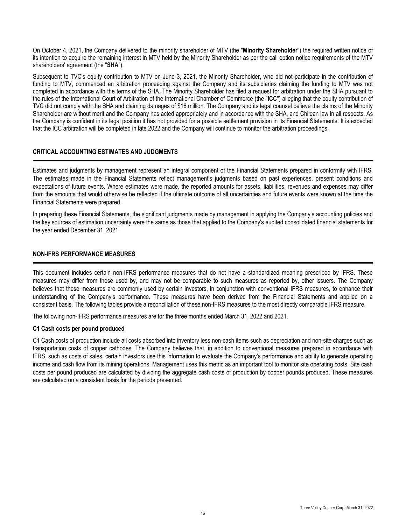On October 4, 2021, the Company delivered to the minority shareholder of MTV (the "**Minority Shareholder**") the required written notice of its intention to acquire the remaining interest in MTV held by the Minority Shareholder as per the call option notice requirements of the MTV shareholders' agreement (the "**SHA**").

Subsequent to TVC's equity contribution to MTV on June 3, 2021, the Minority Shareholder**,** who did not participate in the contribution of funding to MTV, commenced an arbitration proceeding against the Company and its subsidiaries claiming the funding to MTV was not completed in accordance with the terms of the SHA. The Minority Shareholder has filed a request for arbitration under the SHA pursuant to the rules of the International Court of Arbitration of the International Chamber of Commerce (the "**ICC**") alleging that the equity contribution of TVC did not comply with the SHA and claiming damages of \$16 million. The Company and its legal counsel believe the claims of the Minority Shareholder are without merit and the Company has acted appropriately and in accordance with the SHA, and Chilean law in all respects. As the Company is confident in its legal position it has not provided for a possible settlement provision in its Financial Statements. It is expected that the ICC arbitration will be completed in late 2022 and the Company will continue to monitor the arbitration proceedings.

# **CRITICAL ACCOUNTING ESTIMATES AND JUDGMENTS**

Estimates and judgments by management represent an integral component of the Financial Statements prepared in conformity with IFRS. The estimates made in the Financial Statements reflect management's judgments based on past experiences, present conditions and expectations of future events. Where estimates were made, the reported amounts for assets, liabilities, revenues and expenses may differ from the amounts that would otherwise be reflected if the ultimate outcome of all uncertainties and future events were known at the time the Financial Statements were prepared.

In preparing these Financial Statements, the significant judgments made by management in applying the Company's accounting policies and the key sources of estimation uncertainty were the same as those that applied to the Company's audited consolidated financial statements for the year ended December 31, 2021.

## **NON-IFRS PERFORMANCE MEASURES**

This document includes certain non-IFRS performance measures that do not have a standardized meaning prescribed by IFRS. These measures may differ from those used by, and may not be comparable to such measures as reported by, other issuers. The Company believes that these measures are commonly used by certain investors, in conjunction with conventional IFRS measures, to enhance their understanding of the Company's performance. These measures have been derived from the Financial Statements and applied on a consistent basis. The following tables provide a reconciliation of these non-IFRS measures to the most directly comparable IFRS measure.

The following non-IFRS performance measures are for the three months ended March 31, 2022 and 2021.

#### **C1 Cash costs per pound produced**

C1 Cash costs of production include all costs absorbed into inventory less non-cash items such as depreciation and non-site charges such as transportation costs of copper cathodes. The Company believes that, in addition to conventional measures prepared in accordance with IFRS, such as costs of sales, certain investors use this information to evaluate the Company's performance and ability to generate operating income and cash flow from its mining operations. Management uses this metric as an important tool to monitor site operating costs. Site cash costs per pound produced are calculated by dividing the aggregate cash costs of production by copper pounds produced. These measures are calculated on a consistent basis for the periods presented.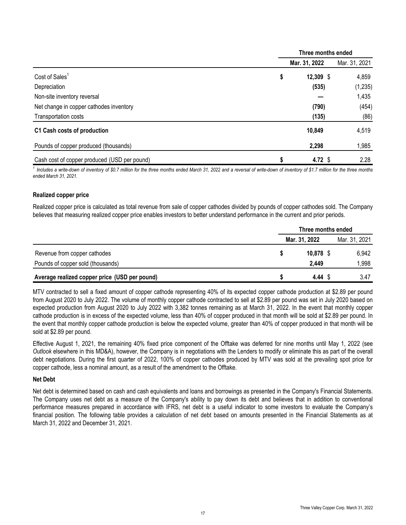|                                              | Three months ended |               |               |
|----------------------------------------------|--------------------|---------------|---------------|
|                                              |                    | Mar. 31, 2022 | Mar. 31, 2021 |
| Cost of Sales <sup>1</sup>                   | \$                 | $12,309$ \$   | 4,859         |
| Depreciation                                 |                    | (535)         | (1, 235)      |
| Non-site inventory reversal                  |                    |               | 1,435         |
| Net change in copper cathodes inventory      |                    | (790)         | (454)         |
| Transportation costs                         |                    | (135)         | (86)          |
| C1 Cash costs of production                  |                    | 10,849        | 4,519         |
| Pounds of copper produced (thousands)        |                    | 2,298         | 1,985         |
| Cash cost of copper produced (USD per pound) |                    | 4.72 $$$      | 2.28          |

<sup>1</sup> Includes a write-down of inventory of \$0.7 million for the three months ended March 31, 2022 and a reversal of write-down of inventory of \$1.7 million for the three months *ended March 31, 2021.*

# **Realized copper price**

Realized copper price is calculated as total revenue from sale of copper cathodes divided by pounds of copper cathodes sold. The Company believes that measuring realized copper price enables investors to better understand performance in the current and prior periods.

|                                               | Three months ended |       |  |  |
|-----------------------------------------------|--------------------|-------|--|--|
|                                               | Mar. 31, 2022      |       |  |  |
| Revenue from copper cathodes                  | $10,878$ \$        | 6,942 |  |  |
| Pounds of copper sold (thousands)             | 2.449              | 1,998 |  |  |
| Average realized copper price (USD per pound) | 4.44 \$            | 3.47  |  |  |

MTV contracted to sell a fixed amount of copper cathode representing 40% of its expected copper cathode production at \$2.89 per pound from August 2020 to July 2022. The volume of monthly copper cathode contracted to sell at \$2.89 per pound was set in July 2020 based on expected production from August 2020 to July 2022 with 3,382 tonnes remaining as at March 31, 2022. In the event that monthly copper cathode production is in excess of the expected volume, less than 40% of copper produced in that month will be sold at \$2.89 per pound. In the event that monthly copper cathode production is below the expected volume, greater than 40% of copper produced in that month will be sold at \$2.89 per pound.

Effective August 1, 2021, the remaining 40% fixed price component of the Offtake was deferred for nine months until May 1, 2022 (see *Outlook* elsewhere in this MD&A), however, the Company is in negotiations with the Lenders to modify or eliminate this as part of the overall debt negotiations. During the first quarter of 2022, 100% of copper cathodes produced by MTV was sold at the prevailing spot price for copper cathode, less a nominal amount, as a result of the amendment to the Offtake.

## **Net Debt**

Net debt is determined based on cash and cash equivalents and loans and borrowings as presented in the Company's Financial Statements. The Company uses net debt as a measure of the Company's ability to pay down its debt and believes that in addition to conventional performance measures prepared in accordance with IFRS, net debt is a useful indicator to some investors to evaluate the Company's financial position. The following table provides a calculation of net debt based on amounts presented in the Financial Statements as at March 31, 2022 and December 31, 2021.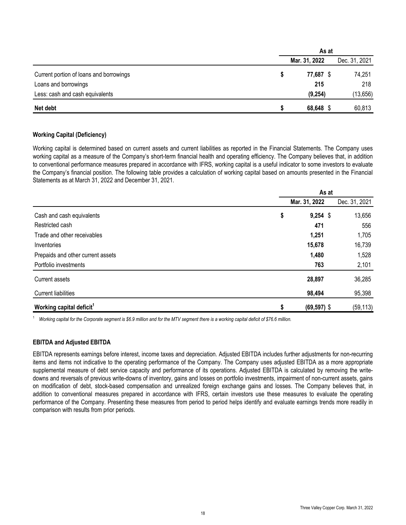|                                         | As at         |               |  |
|-----------------------------------------|---------------|---------------|--|
|                                         | Mar. 31, 2022 | Dec. 31, 2021 |  |
| Current portion of loans and borrowings | 77,687 \$     | 74,251        |  |
| Loans and borrowings                    | 215           | 218           |  |
| Less: cash and cash equivalents         | (9, 254)      | (13, 656)     |  |
| Net debt                                | 68,648 \$     | 60,813        |  |

# **Working Capital (Deficiency)**

Working capital is determined based on current assets and current liabilities as reported in the Financial Statements. The Company uses working capital as a measure of the Company's short-term financial health and operating efficiency. The Company believes that, in addition to conventional performance measures prepared in accordance with IFRS, working capital is a useful indicator to some investors to evaluate the Company's financial position. The following table provides a calculation of working capital based on amounts presented in the Financial Statements as at March 31, 2022 and December 31, 2021.

|                                      | As at                |               |  |
|--------------------------------------|----------------------|---------------|--|
|                                      | Mar. 31, 2022        | Dec. 31, 2021 |  |
| Cash and cash equivalents            | \$<br>$9,254$ \$     | 13,656        |  |
| Restricted cash                      | 471                  | 556           |  |
| Trade and other receivables          | 1,251                | 1,705         |  |
| Inventories                          | 15,678               | 16,739        |  |
| Prepaids and other current assets    | 1,480                | 1,528         |  |
| Portfolio investments                | 763                  | 2,101         |  |
| Current assets                       | 28,897               | 36,285        |  |
| <b>Current liabilities</b>           | 98,494               | 95,398        |  |
| Working capital deficit <sup>1</sup> | \$<br>$(69, 597)$ \$ | (59, 113)     |  |

<sup>1</sup>*Working capital for the Corporate segment is \$6.9 million and for the MTV segment there is a working capital deficit of \$76.6 million.* 

## **EBITDA and Adjusted EBITDA**

EBITDA represents earnings before interest, income taxes and depreciation. Adjusted EBITDA includes further adjustments for non-recurring items and items not indicative to the operating performance of the Company. The Company uses adjusted EBITDA as a more appropriate supplemental measure of debt service capacity and performance of its operations. Adjusted EBITDA is calculated by removing the writedowns and reversals of previous write-downs of inventory, gains and losses on portfolio investments, impairment of non-current assets, gains on modification of debt, stock-based compensation and unrealized foreign exchange gains and losses. The Company believes that, in addition to conventional measures prepared in accordance with IFRS, certain investors use these measures to evaluate the operating performance of the Company. Presenting these measures from period to period helps identify and evaluate earnings trends more readily in comparison with results from prior periods.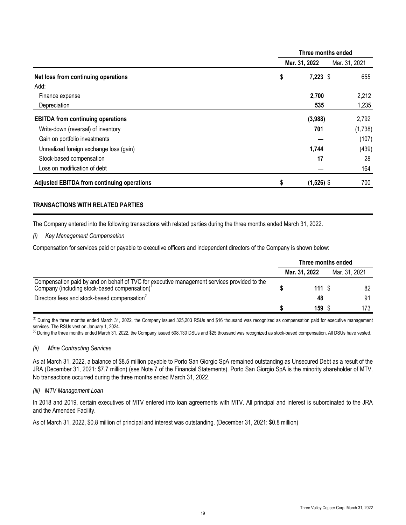|                                                   | Three months ended |               |               |  |
|---------------------------------------------------|--------------------|---------------|---------------|--|
|                                                   |                    | Mar. 31, 2022 | Mar. 31, 2021 |  |
| Net loss from continuing operations               | \$                 | $7,223$ \$    | 655           |  |
| Add:                                              |                    |               |               |  |
| Finance expense                                   |                    | 2,700         | 2,212         |  |
| Depreciation                                      |                    | 535           | 1,235         |  |
| <b>EBITDA</b> from continuing operations          |                    | (3,988)       | 2,792         |  |
| Write-down (reversal) of inventory                |                    | 701           | (1,738)       |  |
| Gain on portfolio investments                     |                    |               | (107)         |  |
| Unrealized foreign exchange loss (gain)           |                    | 1,744         | (439)         |  |
| Stock-based compensation                          |                    | 17            | 28            |  |
| Loss on modification of debt                      |                    |               | 164           |  |
| <b>Adjusted EBITDA from continuing operations</b> |                    | $(1,526)$ \$  | 700           |  |

# **TRANSACTIONS WITH RELATED PARTIES**

The Company entered into the following transactions with related parties during the three months ended March 31, 2022.

### *(i) Key Management Compensation*

Compensation for services paid or payable to executive officers and independent directors of the Company is shown below:

|                                                                                                                                                          | Three months ended |               |  |               |
|----------------------------------------------------------------------------------------------------------------------------------------------------------|--------------------|---------------|--|---------------|
|                                                                                                                                                          |                    | Mar. 31, 2022 |  | Mar. 31, 2021 |
| Compensation paid by and on behalf of TVC for executive management services provided to the<br>Company (including stock-based compensation) <sup>1</sup> |                    | 111S          |  | 82            |
| Directors fees and stock-based compensation <sup>2</sup>                                                                                                 |                    | 48            |  | 91            |
|                                                                                                                                                          |                    | 159           |  | 173           |

(1) During the three months ended March 31, 2022, the Company issued 325,203 RSUs and \$16 thousand was recognized as compensation paid for executive management services. The RSUs vest on January 1, 2024.

 $^{(2)}$  During the three months ended March 31, 2022, the Company issued 508,130 DSUs and \$25 thousand was recognized as stock-based compensation. All DSUs have vested.

#### *(ii) Mine Contracting Services*

As at March 31, 2022, a balance of \$8.5 million payable to Porto San Giorgio SpA remained outstanding as Unsecured Debt as a result of the JRA (December 31, 2021: \$7.7 million) (see Note 7 of the Financial Statements). Porto San Giorgio SpA is the minority shareholder of MTV. No transactions occurred during the three months ended March 31, 2022.

## *(iii) MTV Management Loan*

In 2018 and 2019, certain executives of MTV entered into loan agreements with MTV. All principal and interest is subordinated to the JRA and the Amended Facility.

As of March 31, 2022, \$0.8 million of principal and interest was outstanding. (December 31, 2021: \$0.8 million)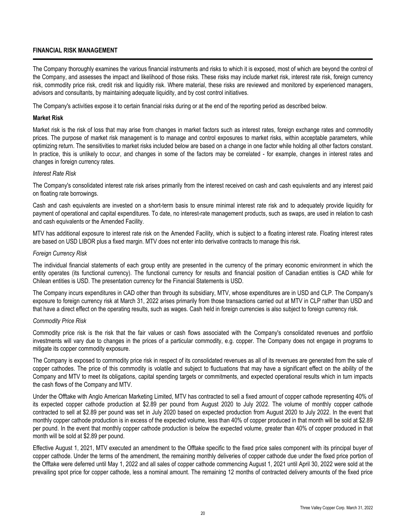## **FINANCIAL RISK MANAGEMENT**

The Company thoroughly examines the various financial instruments and risks to which it is exposed, most of which are beyond the control of the Company, and assesses the impact and likelihood of those risks. These risks may include market risk, interest rate risk, foreign currency risk, commodity price risk, credit risk and liquidity risk. Where material, these risks are reviewed and monitored by experienced managers, advisors and consultants, by maintaining adequate liquidity, and by cost control initiatives.

The Company's activities expose it to certain financial risks during or at the end of the reporting period as described below.

## **Market Risk**

Market risk is the risk of loss that may arise from changes in market factors such as interest rates, foreign exchange rates and commodity prices. The purpose of market risk management is to manage and control exposures to market risks, within acceptable parameters, while optimizing return. The sensitivities to market risks included below are based on a change in one factor while holding all other factors constant. In practice, this is unlikely to occur, and changes in some of the factors may be correlated - for example, changes in interest rates and changes in foreign currency rates.

#### *Interest Rate Risk*

The Company's consolidated interest rate risk arises primarily from the interest received on cash and cash equivalents and any interest paid on floating rate borrowings.

Cash and cash equivalents are invested on a short-term basis to ensure minimal interest rate risk and to adequately provide liquidity for payment of operational and capital expenditures. To date, no interest-rate management products, such as swaps, are used in relation to cash and cash equivalents or the Amended Facility.

MTV has additional exposure to interest rate risk on the Amended Facility, which is subject to a floating interest rate. Floating interest rates are based on USD LIBOR plus a fixed margin. MTV does not enter into derivative contracts to manage this risk.

### *Foreign Currency Risk*

The individual financial statements of each group entity are presented in the currency of the primary economic environment in which the entity operates (its functional currency). The functional currency for results and financial position of Canadian entities is CAD while for Chilean entities is USD. The presentation currency for the Financial Statements is USD.

The Company incurs expenditures in CAD other than through its subsidiary, MTV, whose expenditures are in USD and CLP. The Company's exposure to foreign currency risk at March 31, 2022 arises primarily from those transactions carried out at MTV in CLP rather than USD and that have a direct effect on the operating results, such as wages. Cash held in foreign currencies is also subject to foreign currency risk.

## *Commodity Price Risk*

Commodity price risk is the risk that the fair values or cash flows associated with the Company's consolidated revenues and portfolio investments will vary due to changes in the prices of a particular commodity, e.g. copper. The Company does not engage in programs to mitigate its copper commodity exposure.

The Company is exposed to commodity price risk in respect of its consolidated revenues as all of its revenues are generated from the sale of copper cathodes. The price of this commodity is volatile and subject to fluctuations that may have a significant effect on the ability of the Company and MTV to meet its obligations, capital spending targets or commitments, and expected operational results which in turn impacts the cash flows of the Company and MTV.

Under the Offtake with Anglo American Marketing Limited, MTV has contracted to sell a fixed amount of copper cathode representing 40% of its expected copper cathode production at \$2.89 per pound from August 2020 to July 2022. The volume of monthly copper cathode contracted to sell at \$2.89 per pound was set in July 2020 based on expected production from August 2020 to July 2022. In the event that monthly copper cathode production is in excess of the expected volume, less than 40% of copper produced in that month will be sold at \$2.89 per pound. In the event that monthly copper cathode production is below the expected volume, greater than 40% of copper produced in that month will be sold at \$2.89 per pound.

Effective August 1, 2021, MTV executed an amendment to the Offtake specific to the fixed price sales component with its principal buyer of copper cathode. Under the terms of the amendment, the remaining monthly deliveries of copper cathode due under the fixed price portion of the Offtake were deferred until May 1, 2022 and all sales of copper cathode commencing August 1, 2021 until April 30, 2022 were sold at the prevailing spot price for copper cathode, less a nominal amount. The remaining 12 months of contracted delivery amounts of the fixed price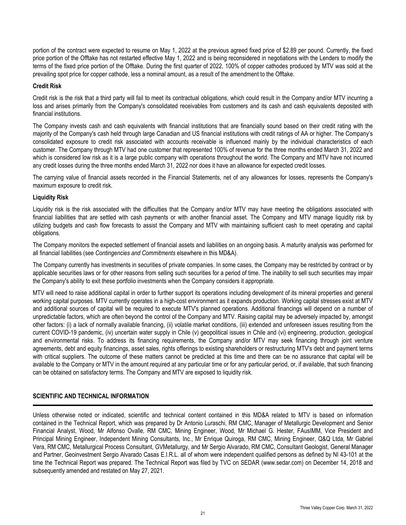portion of the contract were expected to resume on May 1, 2022 at the previous agreed fixed price of \$2.89 per pound. Currently, the fixed price portion of the Offtake has not restarted effective May 1, 2022 and is being reconsidered in negotiations with the Lenders to modify the terms of the fixed price portion of the Offtake. During the first quarter of 2022, 100% of copper cathodes produced by MTV was sold at the prevailing spot price for copper cathode, less a nominal amount, as a result of the amendment to the Offtake.

## **Credit Risk**

Credit risk is the risk that a third party will fail to meet its contractual obligations, which could result in the Company and/or MTV incurring a loss and arises primarily from the Company's consolidated receivables from customers and its cash and cash equivalents deposited with financial institutions.

The Company invests cash and cash equivalents with financial institutions that are financially sound based on their credit rating with the majority of the Company's cash held through large Canadian and US financial institutions with credit ratings of AA or higher. The Company's consolidated exposure to credit risk associated with accounts receivable is influenced mainly by the individual characteristics of each customer. The Company through MTV had one customer that represented 100% of revenue for the three months ended March 31, 2022 and which is considered low risk as it is a large public company with operations throughout the world. The Company and MTV have not incurred any credit losses during the three months ended March 31, 2022 nor does it have an allowance for expected credit losses.

The carrying value of financial assets recorded in the Financial Statements, net of any allowances for losses, represents the Company's maximum exposure to credit risk.

### **Liquidity Risk**

Liquidity risk is the risk associated with the difficulties that the Company and/or MTV may have meeting the obligations associated with financial liabilities that are settled with cash payments or with another financial asset. The Company and MTV manage liquidity risk by utilizing budgets and cash flow forecasts to assist the Company and MTV with maintaining sufficient cash to meet operating and capital obligations.

The Company monitors the expected settlement of financial assets and liabilities on an ongoing basis. A maturity analysis was performed for all financial liabilities (see *Contingencies and Commitments* elsewhere in this MD&A).

The Company currently has investments in securities of private companies. In some cases, the Company may be restricted by contract or by applicable securities laws or for other reasons from selling such securities for a period of time. The inability to sell such securities may impair the Company's ability to exit these portfolio investments when the Company considers it appropriate.

MTV will need to raise additional capital in order to further support its operations including development of its mineral properties and general working capital purposes. MTV currently operates in a high-cost environment as it expands production. Working capital stresses exist at MTV and additional sources of capital will be required to execute MTV's planned operations. Additional financings will depend on a number of unpredictable factors, which are often beyond the control of the Company and MTV. Raising capital may be adversely impacted by, amongst other factors: (i) a lack of normally available financing, (ii) volatile market conditions, (iii) extended and unforeseen issues resulting from the current COVID-19 pandemic, (iv) uncertain water supply in Chile (v) geopolitical issues in Chile and (vi) engineering, production, geological and environmental risks. To address its financing requirements, the Company and/or MTV may seek financing through joint venture agreements, debt and equity financings, asset sales, rights offerings to existing shareholders or restructuring MTV's debt and payment terms with critical suppliers. The outcome of these matters cannot be predicted at this time and there can be no assurance that capital will be available to the Company or MTV in the amount required at any particular time or for any particular period, or, if available, that such financing can be obtained on satisfactory terms. The Company and MTV are exposed to liquidity risk.

## **SCIENTIFIC AND TECHNICAL INFORMATION**

Unless otherwise noted or indicated, scientific and technical content contained in this MD&A related to MTV is based on information contained in the Technical Report, which was prepared by Dr Antonio Luraschi, RM CMC, Manager of Metallurgic Development and Senior Financial Analyst, Wood, Mr Alfonso Ovalle, RM CMC, Mining Engineer, Wood, Mr Michael G. Hester, FAusIMM, Vice President and Principal Mining Engineer, Independent Mining Consultants, Inc., Mr Enrique Quiroga, RM CMC, Mining Engineer, Q&Q Ltda, Mr Gabriel Vera, RM CMC, Metallurgical Process Consultant, GVMetallurgy, and Mr Sergio Alvarado, RM CMC, Consultant Geologist, General Manager and Partner, Geoinvestment Sergio Alvarado Casas E.I.R.L. all of whom were independent qualified persons as defined by NI 43-101 at the time the Technical Report was prepared. The Technical Report was filed by TVC on SEDAR (www.sedar.com) on December 14, 2018 and subsequently amended and restated on May 27, 2021.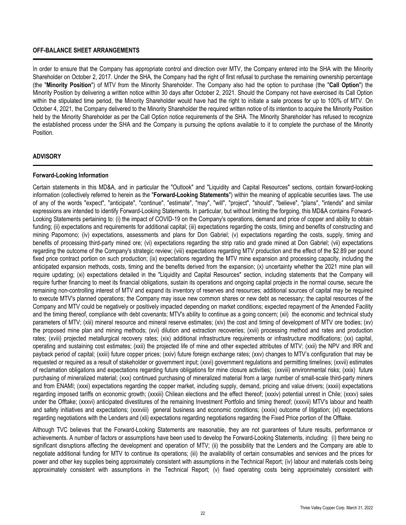### **OFF-BALANCE SHEET ARRANGEMENTS**

In order to ensure that the Company has appropriate control and direction over MTV, the Company entered into the SHA with the Minority Shareholder on October 2, 2017. Under the SHA, the Company had the right of first refusal to purchase the remaining ownership percentage (the "**Minority Position**") of MTV from the Minority Shareholder. The Company also had the option to purchase (the "**Call Option**") the Minority Position by delivering a written notice within 30 days after October 2, 2021. Should the Company not have exercised its Call Option within the stipulated time period, the Minority Shareholder would have had the right to initiate a sale process for up to 100% of MTV. On October 4, 2021, the Company delivered to the Minority Shareholder the required written notice of its intention to acquire the Minority Position held by the Minority Shareholder as per the Call Option notice requirements of the SHA. The Minority Shareholder has refused to recognize the established process under the SHA and the Company is pursuing the options available to it to complete the purchase of the Minority Position.

### **ADVISORY**

### **Forward-Looking Information**

Certain statements in this MD&A, and in particular the "Outlook" and "Liquidity and Capital Resources" sections, contain forward-looking information (collectively referred to herein as the "**Forward-Looking Statements**") within the meaning of applicable securities laws. The use of any of the words "expect", "anticipate", "continue", "estimate", "may", "will", "project", "should", "believe", "plans", "intends" and similar expressions are intended to identify Forward-Looking Statements. In particular, but without limiting the forgoing, this MD&A contains Forward-Looking Statements pertaining to: (i) the impact of COVID-19 on the Company's operations, demand and price of copper and ability to obtain funding; (ii) expectations and requirements for additional capital; (iii) expectations regarding the costs, timing and benefits of constructing and mining Papomono; (iv) expectations, assessments and plans for Don Gabriel; (v) expectations regarding the costs, supply, timing and benefits of processing third-party mined ore; (vi) expectations regarding the strip ratio and grade mined at Don Gabriel; (vii) expectations regarding the outcome of the Company's strategic review; (viii) expectations regarding MTV production and the effect of the \$2.89 per pound fixed price contract portion on such production; (ix) expectations regarding the MTV mine expansion and processing capacity, including the anticipated expansion methods, costs, timing and the benefits derived from the expansion; (x) uncertainty whether the 2021 mine plan will require updating; (xi) expectations detailed in the "Liquidity and Capital Resources" section, including statements that the Company will require further financing to meet its financial obligations, sustain its operations and ongoing capital projects in the normal course, secure the remaining non-controlling interest of MTV and expand its inventory of reserves and resources; additional sources of capital may be required to execute MTV's planned operations; the Company may issue new common shares or new debt as necessary; the capital resources of the Company and MTV could be negatively or positively impacted depending on market conditions; expected repayment of the Amended Facility and the timing thereof, compliance with debt covenants; MTV's ability to continue as a going concern; (xii) the economic and technical study parameters of MTV; (xiii) mineral resource and mineral reserve estimates; (xiv) the cost and timing of development of MTV ore bodies; (xv) the proposed mine plan and mining methods; (xvi) dilution and extraction recoveries; (xvii) processing method and rates and production rates; (xviii) projected metallurgical recovery rates; (xix) additional infrastructure requirements or infrastructure modifications; (xx) capital, operating and sustaining cost estimates; (xxii) the projected life of mine and other expected attributes of MTV; (xxii) the NPV and IRR and payback period of capital; (xxiii) future copper prices; (xxiv) future foreign exchange rates; (xxv) changes to MTV's configuration that may be requested or required as a result of stakeholder or government input; (xxvi) government regulations and permitting timelines; (xxvii) estimates of reclamation obligations and expectations regarding future obligations for mine closure activities; (xxviii) environmental risks; (xxix) future purchasing of mineralized material; (xxx) continued purchasing of mineralized material from a large number of small-scale third-party miners and from ENAMI; (xxxi) expectations regarding the copper market, including supply, demand, pricing and value drivers; (xxxii) expectations regarding imposed tariffs on economic growth; (xxxiii) Chilean elections and the effect thereof; (xxxiv) potential unrest in Chile; (xxxv) sales under the Offtake; (xxxvi) anticipated divestitures of the remaining Investment Portfolio and timing thereof; (xxxvii) MTV's labour and health and safety initiatives and expectations; (xxxviii) general business and economic conditions; (xxxix) outcome of litigation; (xl) expectations regarding negotiations with the Lenders and (xli) expectations regarding negotiations regarding the Fixed Price portion of the Offtake.

Although TVC believes that the Forward-Looking Statements are reasonable, they are not guarantees of future results, performance or achievements. A number of factors or assumptions have been used to develop the Forward-Looking Statements, including: (i) there being no significant disruptions affecting the development and operation of MTV; (ii) the possibility that the Lenders and the Company are able to negotiate additional funding for MTV to continue its operations; (iii) the availability of certain consumables and services and the prices for power and other key supplies being approximately consistent with assumptions in the Technical Report; (iv) labour and materials costs being approximately consistent with assumptions in the Technical Report; (v) fixed operating costs being approximately consistent with